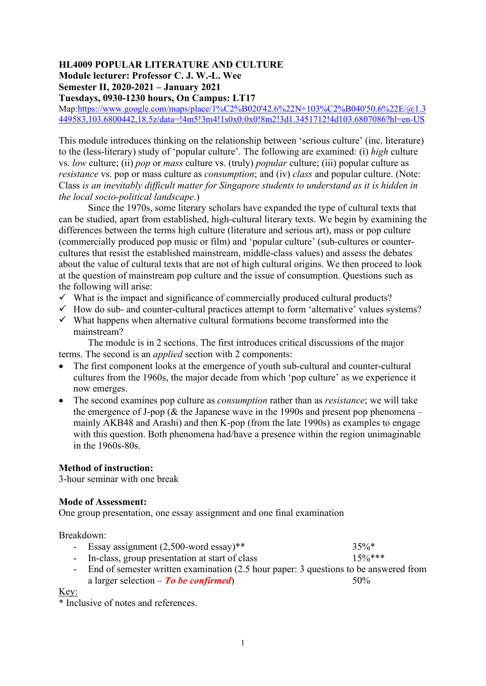# **HL4009 POPULAR LITERATURE AND CULTURE Module lecturer: Professor C. J. W.-L. Wee Semester II, 2020-2021 – January 2021**

**Tuesdays, 0930-1230 hours, On Campus: LT17**

Map[:https://www.google.com/maps/place/1%C2%B020'42.6%22N+103%C2%B040'50.6%22E/@1.3](https://www.google.com/maps/place/1%C2%B020) [449583,103.6800442,18.5z/data=!4m5!3m4!1s0x0:0x0!8m2!3d1.3451712!4d103.6807086?hl=en-US](https://www.google.com/maps/place/1%C2%B020)

This module introduces thinking on the relationship between 'serious culture' (inc. literature) to the (less-literary) study of 'popular culture'. The following are examined: (i) *high* culture vs. *low* culture; (ii) *pop* or *mass* culture vs. (truly) *popular* culture; (iii) popular culture as *resistance* vs. pop or mass culture as *consumption*; and (iv) *class* and popular culture. (Note: Class *is an inevitably difficult matter for Singapore students to understand as it is hidden in the local socio-political landscape*.)

Since the 1970s, some literary scholars have expanded the type of cultural texts that can be studied, apart from established, high-cultural literary texts. We begin by examining the differences between the terms high culture (literature and serious art), mass or pop culture (commercially produced pop music or film) and 'popular culture' (sub-cultures or countercultures that resist the established mainstream, middle-class values) and assess the debates about the value of cultural texts that are not of high cultural origins. We then proceed to look at the question of mainstream pop culture and the issue of consumption. Questions such as the following will arise:

- $\checkmark$  What is the impact and significance of commercially produced cultural products?
- $\checkmark$  How do sub- and counter-cultural practices attempt to form 'alternative' values systems?
- $\checkmark$  What happens when alternative cultural formations become transformed into the mainstream?

The module is in 2 sections. The first introduces critical discussions of the major terms. The second is an *applied* section with 2 components:

- The first component looks at the emergence of youth sub-cultural and counter-cultural cultures from the 1960s, the major decade from which 'pop culture' as we experience it now emerges.
- The second examines pop culture as *consumption* rather than as *resistance*; we will take the emergence of J-pop ( $\&$  the Japanese wave in the 1990s and present pop phenomena – mainly AKB48 and Arashi) and then K-pop (from the late 1990s) as examples to engage with this question. Both phenomena had/have a presence within the region unimaginable in the 1960s-80s.

#### **Method of instruction:**

3-hour seminar with one break

#### **Mode of Assessment:**

One group presentation, one essay assignment and one final examination

Breakdown:

| - Essay assignment $(2,500$ -word essay)** | $35\%*$ |  |
|--------------------------------------------|---------|--|
|                                            |         |  |

- In-class, group presentation at start of class  $15\%***$
- End of semester written examination (2.5 hour paper: 3 questions to be answered from a larger selection – *To be confirmed*) 50%

Key:

\* Inclusive of notes and references.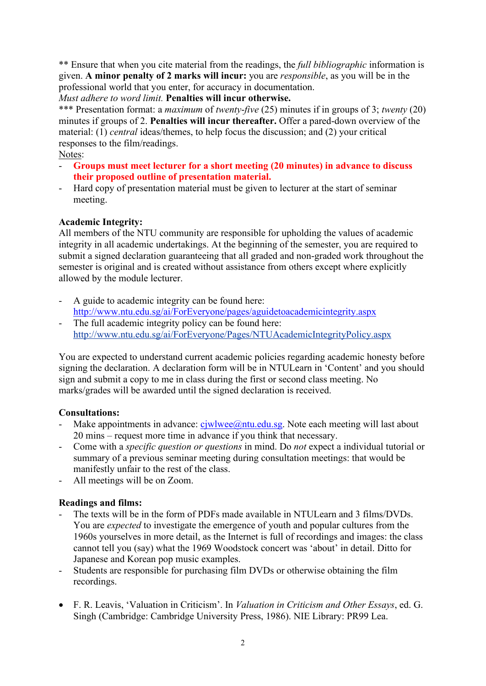\*\* Ensure that when you cite material from the readings, the *full bibliographic* information is given. **A minor penalty of 2 marks will incur:** you are *responsible*, as you will be in the professional world that you enter, for accuracy in documentation.

*Must adhere to word limit.* **Penalties will incur otherwise.**

\*\*\* Presentation format: a *maximum* of *twenty*-*five* (25) minutes if in groups of 3; *twenty* (20) minutes if groups of 2. **Penalties will incur thereafter.** Offer a pared-down overview of the material: (1) *central* ideas/themes, to help focus the discussion; and (2) your critical responses to the film/readings.

Notes:

- **Groups must meet lecturer for a short meeting (20 minutes) in advance to discuss their proposed outline of presentation material.**
- Hard copy of presentation material must be given to lecturer at the start of seminar meeting.

# **Academic Integrity:**

All members of the NTU community are responsible for upholding the values of academic integrity in all academic undertakings. At the beginning of the semester, you are required to submit a signed declaration guaranteeing that all graded and non-graded work throughout the semester is original and is created without assistance from others except where explicitly allowed by the module lecturer.

- A guide to academic integrity can be found here: <http://www.ntu.edu.sg/ai/ForEveryone/pages/aguidetoacademicintegrity.aspx>
- The full academic integrity policy can be found here: <http://www.ntu.edu.sg/ai/ForEveryone/Pages/NTUAcademicIntegrityPolicy.aspx>

You are expected to understand current academic policies regarding academic honesty before signing the declaration. A declaration form will be in NTULearn in 'Content' and you should sign and submit a copy to me in class during the first or second class meeting. No marks/grades will be awarded until the signed declaration is received.

# **Consultations:**

- Make appointments in advance:  $c_j$ wlwee $\omega$ ntu.edu.sg. Note each meeting will last about 20 mins – request more time in advance if you think that necessary.
- Come with a *specific question or questions* in mind. Do *not* expect a individual tutorial or summary of a previous seminar meeting during consultation meetings: that would be manifestly unfair to the rest of the class.
- All meetings will be on Zoom.

# **Readings and films:**

- The texts will be in the form of PDFs made available in NTULearn and 3 films/DVDs. You are *expected* to investigate the emergence of youth and popular cultures from the 1960s yourselves in more detail, as the Internet is full of recordings and images: the class cannot tell you (say) what the 1969 Woodstock concert was 'about' in detail. Ditto for Japanese and Korean pop music examples.
- Students are responsible for purchasing film DVDs or otherwise obtaining the film recordings.
- F. R. Leavis, 'Valuation in Criticism'. In *Valuation in Criticism and Other Essays*, ed. G. Singh (Cambridge: Cambridge University Press, 1986). NIE Library: PR99 Lea.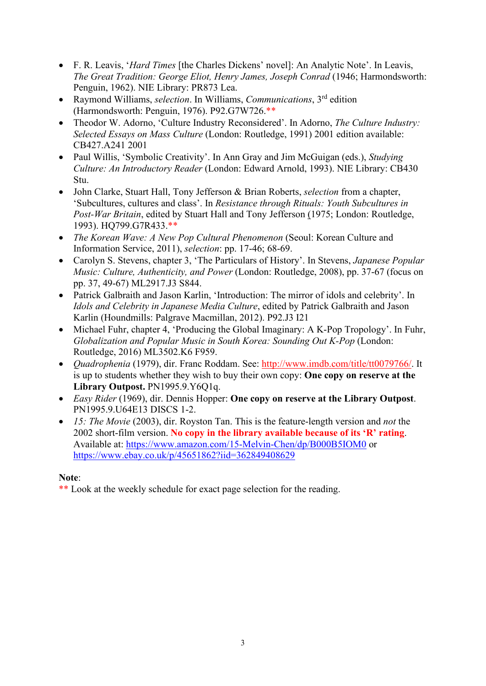- F. R. Leavis, '*Hard Times* [the Charles Dickens' novel]: An Analytic Note'. In Leavis, *The Great Tradition: George Eliot, Henry James, Joseph Conrad* (1946; Harmondsworth: Penguin, 1962). NIE Library: PR873 Lea.
- Raymond Williams, *selection*. In Williams, *Communications*, 3rd edition (Harmondsworth: Penguin, 1976). P92.G7W726.\*\*
- Theodor W. Adorno, 'Culture Industry Reconsidered'. In Adorno, *The Culture Industry: Selected Essays on Mass Culture* (London: Routledge, 1991) 2001 edition available: CB427.A241 2001
- Paul Willis, 'Symbolic Creativity'. In Ann Gray and Jim McGuigan (eds.), *Studying Culture: An Introductory Reader* (London: Edward Arnold, 1993). NIE Library: CB430 Stu.
- John Clarke, Stuart Hall, Tony Jefferson & Brian Roberts, *selection* from a chapter, 'Subcultures, cultures and class'. In *Resistance through Rituals: Youth Subcultures in Post-War Britain*, edited by Stuart Hall and Tony Jefferson (1975; London: Routledge, 1993). HQ799.G7R433.\*\*
- *The Korean Wave: A New Pop Cultural Phenomenon* (Seoul: Korean Culture and Information Service, 2011), *selection*: pp. 17-46; 68-69.
- Carolyn S. Stevens, chapter 3, 'The Particulars of History'. In Stevens, *Japanese Popular Music: Culture, Authenticity, and Power* (London: Routledge, 2008), pp. 37-67 (focus on pp. 37, 49-67) ML2917.J3 S844.
- Patrick Galbraith and Jason Karlin, 'Introduction: The mirror of idols and celebrity'. In *Idols and Celebrity in Japanese Media Culture*, edited by Patrick Galbraith and Jason Karlin (Houndmills: Palgrave Macmillan, 2012). P92.J3 I21
- Michael Fuhr, chapter 4, 'Producing the Global Imaginary: A K-Pop Tropology'. In Fuhr, *Globalization and Popular Music in South Korea: Sounding Out K-Pop* (London: Routledge, 2016) ML3502.K6 F959.
- *Quadrophenia* (1979), dir. Franc Roddam. See: [http://www.imdb.com/title/tt0079766/.](http://www.imdb.com/title/tt0079766/) It is up to students whether they wish to buy their own copy: **One copy on reserve at the**  Library Outpost. PN1995.9.Y6Q1q.
- *Easy Rider* (1969), dir. Dennis Hopper: **One copy on reserve at the Library Outpost**. PN1995.9.U64E13 DISCS 1-2.
- *15: The Movie* (2003), dir. Royston Tan. This is the feature-length version and *not* the 2002 short-film version. **No copy in the library available because of its 'R' rating**. Available at:<https://www.amazon.com/15-Melvin-Chen/dp/B000B5IOM0> or <https://www.ebay.co.uk/p/45651862?iid=362849408629>

# **Note**:

\*\* Look at the weekly schedule for exact page selection for the reading.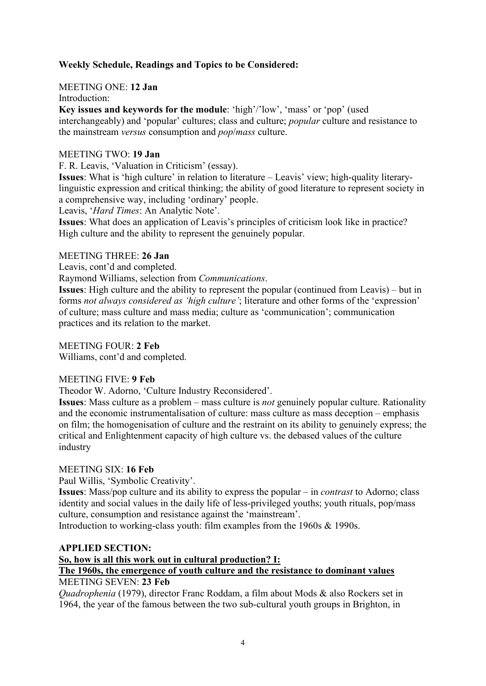# **Weekly Schedule, Readings and Topics to be Considered:**

MEETING ONE: **12 Jan**

Introduction:

**Key issues and keywords for the module**: 'high'/'low', 'mass' or 'pop' (used interchangeably) and 'popular' cultures; class and culture; *popular* culture and resistance to the mainstream *versus* consumption and *pop*/*mass* culture.

## MEETING TWO: **19 Jan**

F. R. Leavis, 'Valuation in Criticism' (essay).

**Issues**: What is 'high culture' in relation to literature – Leavis' view; high-quality literarylinguistic expression and critical thinking; the ability of good literature to represent society in a comprehensive way, including 'ordinary' people.

Leavis, '*Hard Times*: An Analytic Note'.

**Issues**: What does an application of Leavis's principles of criticism look like in practice? High culture and the ability to represent the genuinely popular.

# MEETING THREE: **26 Jan**

Leavis, cont'd and completed.

Raymond Williams, selection from *Communications*.

**Issues**: High culture and the ability to represent the popular (continued from Leavis) – but in forms *not always considered as 'high culture'*; literature and other forms of the 'expression' of culture; mass culture and mass media; culture as 'communication'; communication practices and its relation to the market.

# MEETING FOUR: **2 Feb**

Williams, cont'd and completed.

## MEETING FIVE: **9 Feb**

Theodor W. Adorno, 'Culture Industry Reconsidered'.

**Issues**: Mass culture as a problem – mass culture is *not* genuinely popular culture. Rationality and the economic instrumentalisation of culture: mass culture as mass deception – emphasis on film; the homogenisation of culture and the restraint on its ability to genuinely express; the critical and Enlightenment capacity of high culture vs. the debased values of the culture industry

## MEETING SIX: **16 Feb**

Paul Willis, 'Symbolic Creativity'.

**Issues**: Mass/pop culture and its ability to express the popular – in *contrast* to Adorno; class identity and social values in the daily life of less-privileged youths; youth rituals, pop/mass culture, consumption and resistance against the 'mainstream'.

Introduction to working-class youth: film examples from the 1960s & 1990s.

# **APPLIED SECTION: So, how is all this work out in cultural production? I: The 1960s, the emergence of youth culture and the resistance to dominant values**

## MEETING SEVEN: **23 Feb**

*Quadrophenia* (1979), director Franc Roddam, a film about Mods & also Rockers set in 1964, the year of the famous between the two sub-cultural youth groups in Brighton, in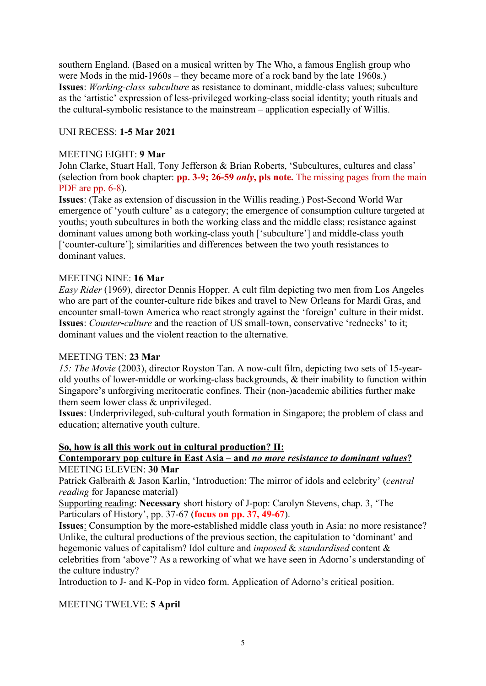southern England. (Based on a musical written by The Who, a famous English group who were Mods in the mid-1960s – they became more of a rock band by the late 1960s.) **Issues**: *Working-class subculture* as resistance to dominant, middle-class values; subculture as the 'artistic' expression of less-privileged working-class social identity; youth rituals and the cultural-symbolic resistance to the mainstream – application especially of Willis.

# UNI RECESS: **1-5 Mar 2021**

#### MEETING EIGHT: **9 Mar**

John Clarke, Stuart Hall, Tony Jefferson & Brian Roberts, 'Subcultures, cultures and class' (selection from book chapter: **pp. 3-9; 26-59** *only***, pls note.** The missing pages from the main PDF are pp.  $6-8$ ).

**Issues**: (Take as extension of discussion in the Willis reading.) Post-Second World War emergence of 'youth culture' as a category; the emergence of consumption culture targeted at youths; youth subcultures in both the working class and the middle class; resistance against dominant values among both working-class youth ['subculture'] and middle-class youth ['counter-culture']; similarities and differences between the two youth resistances to dominant values.

#### MEETING NINE: **16 Mar**

*Easy Rider* (1969), director Dennis Hopper. A cult film depicting two men from Los Angeles who are part of the counter-culture ride bikes and travel to New Orleans for Mardi Gras, and encounter small-town America who react strongly against the 'foreign' culture in their midst. **Issues**: *Counter***-***culture* and the reaction of US small-town, conservative 'rednecks' to it; dominant values and the violent reaction to the alternative.

#### MEETING TEN: **23 Mar**

*15: The Movie* (2003), director Royston Tan. A now-cult film, depicting two sets of 15-yearold youths of lower-middle or working-class backgrounds, & their inability to function within Singapore's unforgiving meritocratic confines. Their (non-)academic abilities further make them seem lower class & unprivileged.

**Issues**: Underprivileged, sub-cultural youth formation in Singapore; the problem of class and education; alternative youth culture.

#### **So, how is all this work out in cultural production? II:**

## **Contemporary pop culture in East Asia – and** *no more resistance to dominant values***?** MEETING ELEVEN: **30 Mar**

Patrick Galbraith & Jason Karlin, 'Introduction: The mirror of idols and celebrity' (*central reading* for Japanese material)

Supporting reading: **Necessary** short history of J-pop: Carolyn Stevens, chap. 3, 'The Particulars of History', pp. 37-67 (**focus on pp. 37, 49-67**).

**Issues**: Consumption by the more-established middle class youth in Asia: no more resistance? Unlike, the cultural productions of the previous section, the capitulation to 'dominant' and hegemonic values of capitalism? Idol culture and *imposed* & *standardised* content & celebrities from 'above'? As a reworking of what we have seen in Adorno's understanding of the culture industry?

Introduction to J- and K-Pop in video form. Application of Adorno's critical position.

## MEETING TWELVE: **5 April**